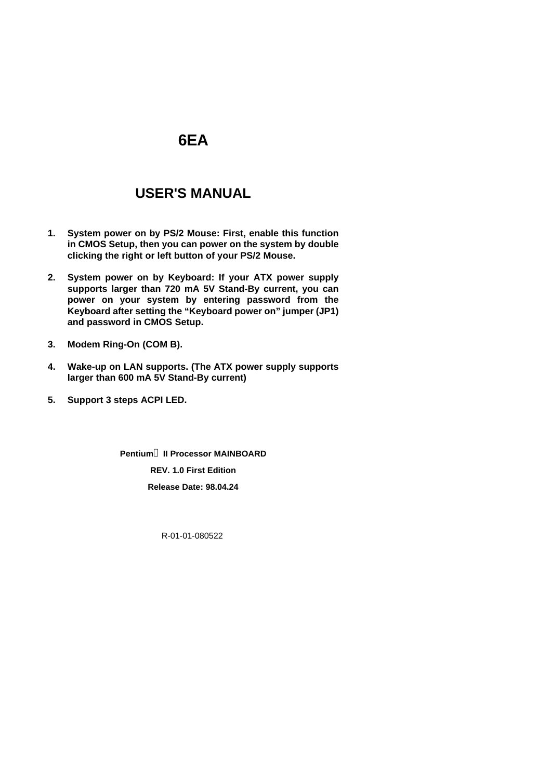# **6EA**

# **USER'S MANUAL**

- **1. System power on by PS/2 Mouse: First, enable this function in CMOS Setup, then you can power on the system by double clicking the right or left button of your PS/2 Mouse.**
- **2. System power on by Keyboard: If your ATX power supply supports larger than 720 mA 5V Stand-By current, you can power on your system by entering password from the Keyboard after setting the "Keyboard power on" jumper (JP1) and password in CMOS Setup.**
- **3. Modem Ring-On (COM B).**
- **4. Wake-up on LAN supports. (The ATX power supply supports larger than 600 mA 5V Stand-By current)**
- **5. Support 3 steps ACPI LED.**

**Pentiumâ II Processor MAINBOARD REV. 1.0 First Edition Release Date: 98.04.24**

R-01-01-080522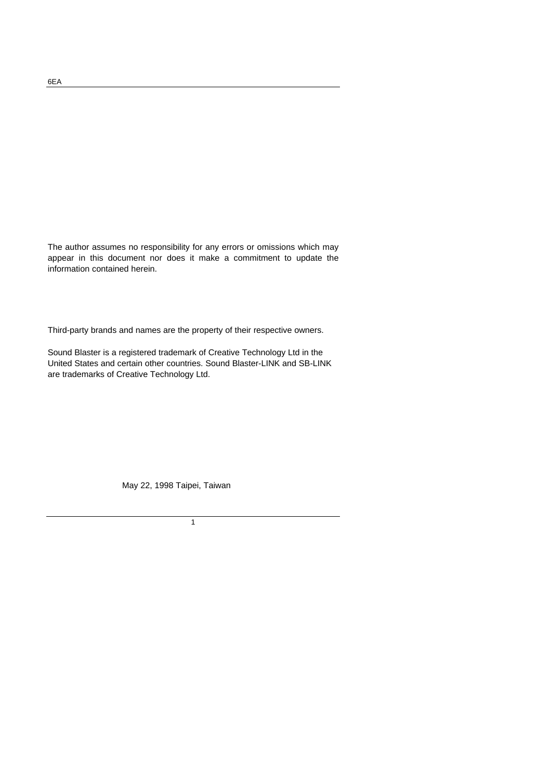The author assumes no responsibility for any errors or omissions which may appear in this document nor does it make a commitment to update the information contained herein.

Third-party brands and names are the property of their respective owners.

Sound Blaster is a registered trademark of Creative Technology Ltd in the United States and certain other countries. Sound Blaster-LINK and SB-LINK are trademarks of Creative Technology Ltd.

May 22, 1998 Taipei, Taiwan

1

6EA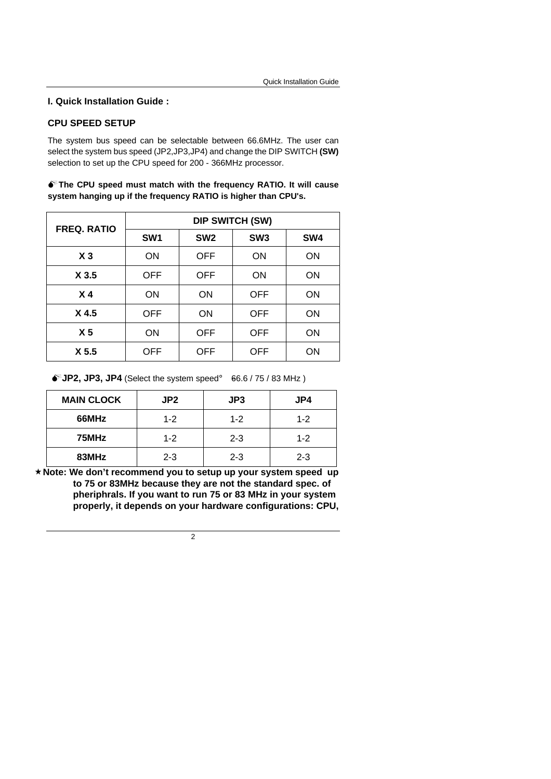## **CPU SPEED SETUP**

The system bus speed can be selectable between 66.6MHz. The user can select the system bus speed (JP2,JP3,JP4) and change the DIP SWITCH **(SW)** selection to set up the CPU speed for 200 - 366MHz processor.

 $\bullet$ <sup>\*</sup> The CPU speed must match with the frequency RATIO. It will cause **system hanging up if the frequency RATIO is higher than CPU's.**

| <b>FREQ. RATIO</b> | <b>DIP SWITCH (SW)</b> |                 |                 |           |  |
|--------------------|------------------------|-----------------|-----------------|-----------|--|
|                    | SW <sub>1</sub>        | SW <sub>2</sub> | SW <sub>3</sub> | SW4       |  |
| $X_3$              | ON                     | <b>OFF</b>      | ON              | ON        |  |
| X <sub>3.5</sub>   | OFF                    | <b>OFF</b>      | ON              | <b>ON</b> |  |
| X <sub>4</sub>     | ON                     | ON              | <b>OFF</b>      | ON        |  |
| X4.5               | OFF                    | ON              | <b>OFF</b>      | ON        |  |
| X <sub>5</sub>     | ON                     | OFF             | <b>OFF</b>      | ON        |  |
| X <sub>5.5</sub>   | OFF                    | OFF             | <b>OFF</b>      | ON        |  |

 $\bullet^*$ **JP2, JP3, JP4** (Select the system speed; 66.6 / 75 / 83 MHz)

| <b>MAIN CLOCK</b> | JP <sub>2</sub> | JP3     | JP4     |
|-------------------|-----------------|---------|---------|
| 66MHz             | $1 - 2$         | $1 - 2$ | $1 - 2$ |
| 75MHz             | $1 - 2$         | $2 - 3$ | $1 - 2$ |
| 83MHz             | $2 - 3$         | $2 - 3$ | $2 - 3$ |

**´Note: We don't recommend you to setup up your system speed up to 75 or 83MHz because they are not the standard spec. of pheriphrals. If you want to run 75 or 83 MHz in your system properly, it depends on your hardware configurations: CPU,**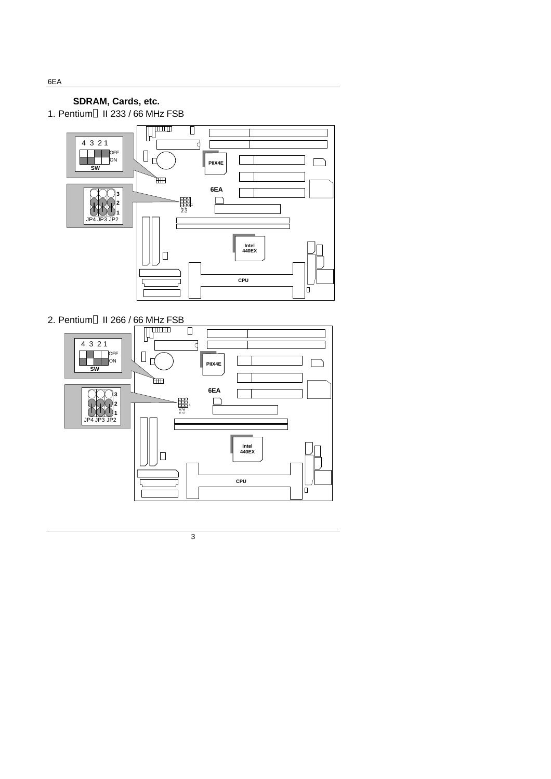# **SDRAM, Cards, etc.**



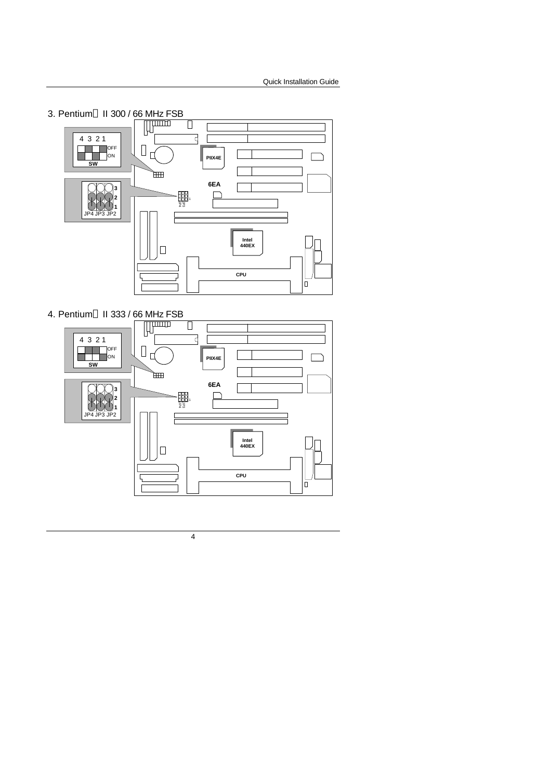

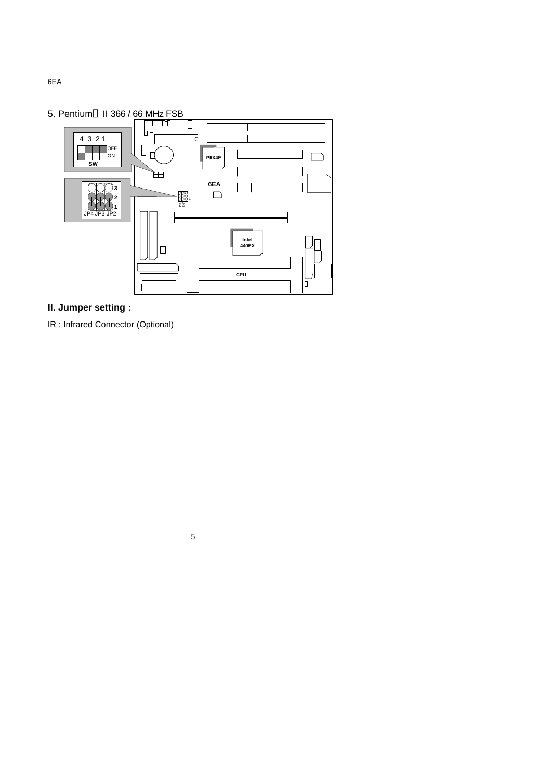

# **II. Jumper setting :**

IR : Infrared Connector (Optional)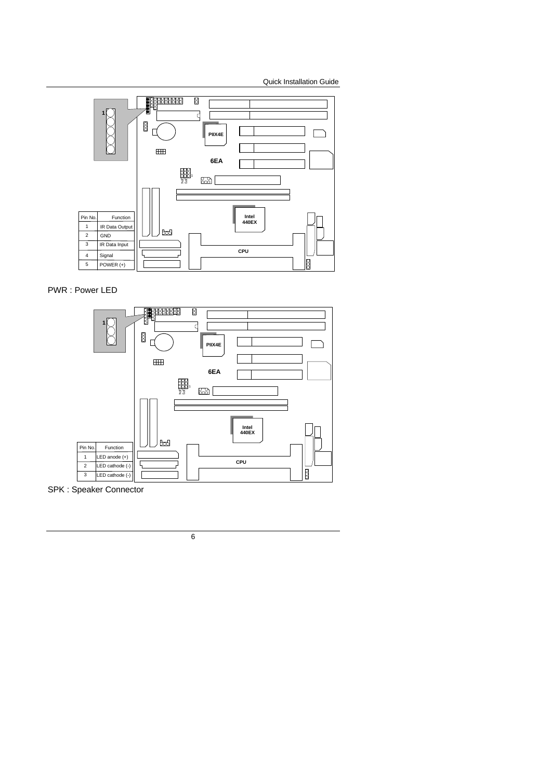

PWR : Power LED



SPK : Speaker Connector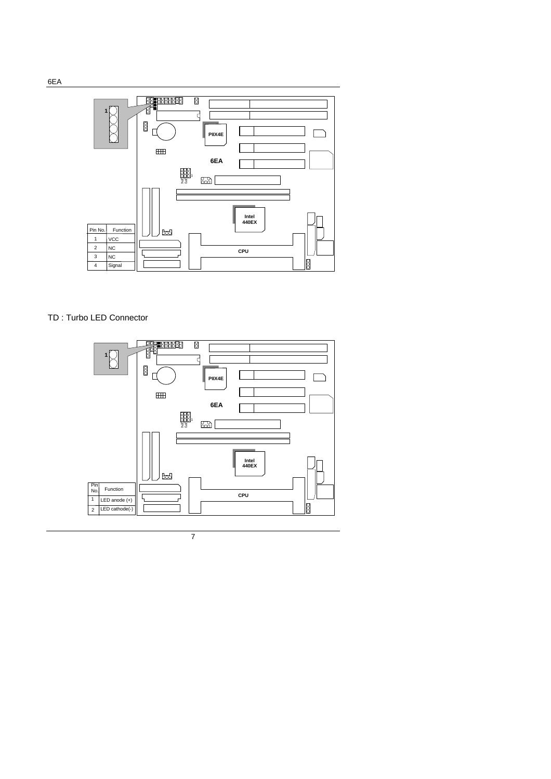

## TD : Turbo LED Connector

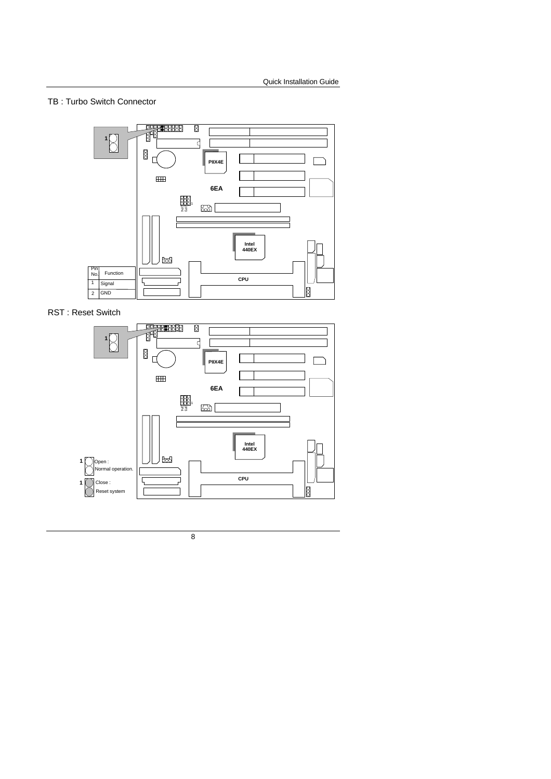# TB : Turbo Switch Connector



RST : Reset Switch

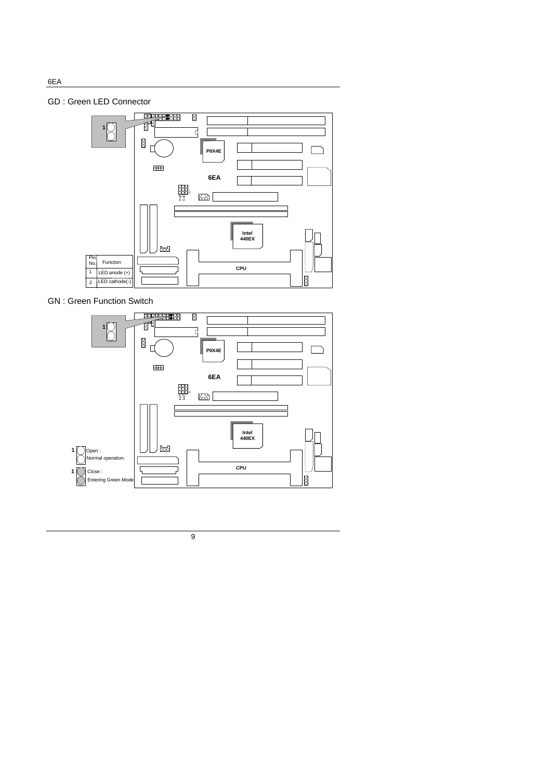# GD : Green LED Connector



GN : Green Function Switch



9

6EA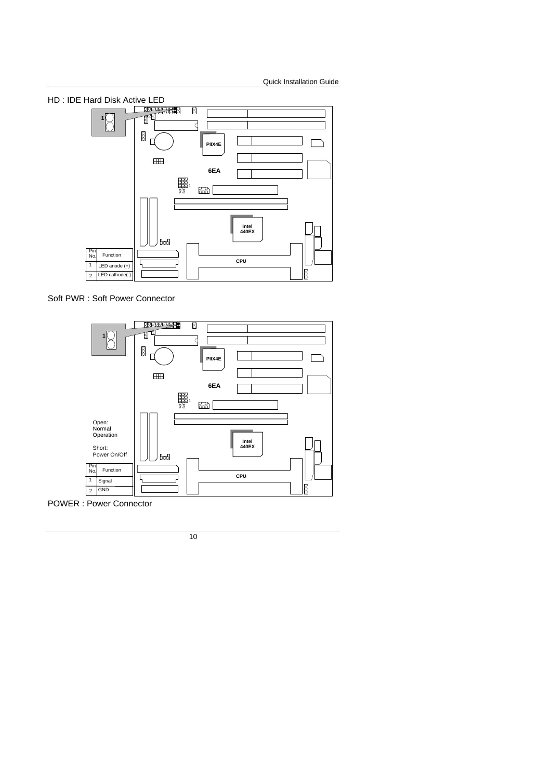

Soft PWR : Soft Power Connector



POWER : Power Connector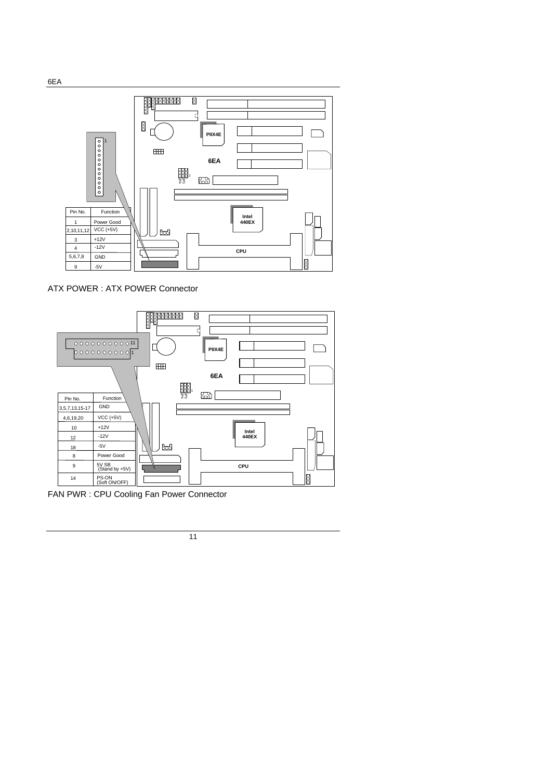

ATX POWER : ATX POWER Connector



FAN PWR : CPU Cooling Fan Power Connector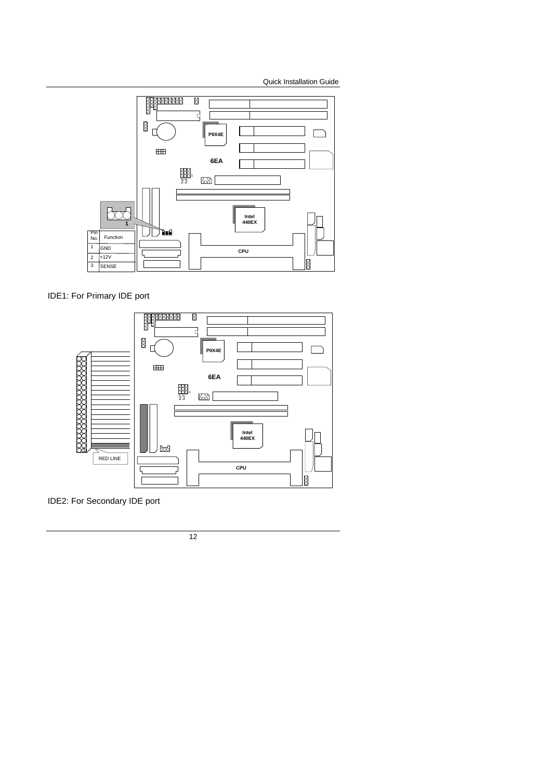

IDE1: For Primary IDE port



IDE2: For Secondary IDE port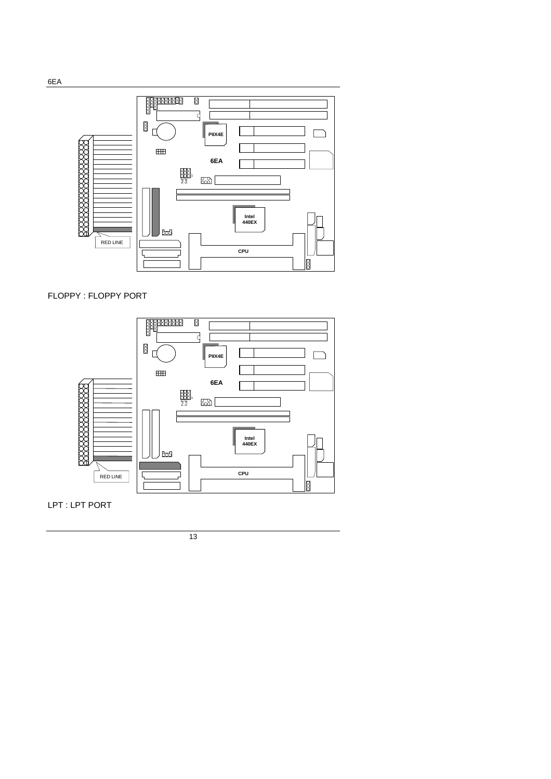LPT : LPT PORT



FLOPPY : FLOPPY PORT

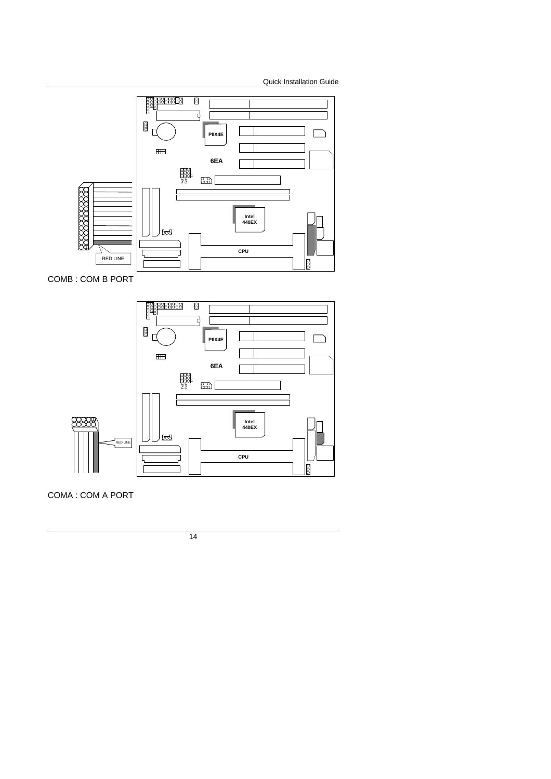

COMB : COM B PORT



COMA : COM A PORT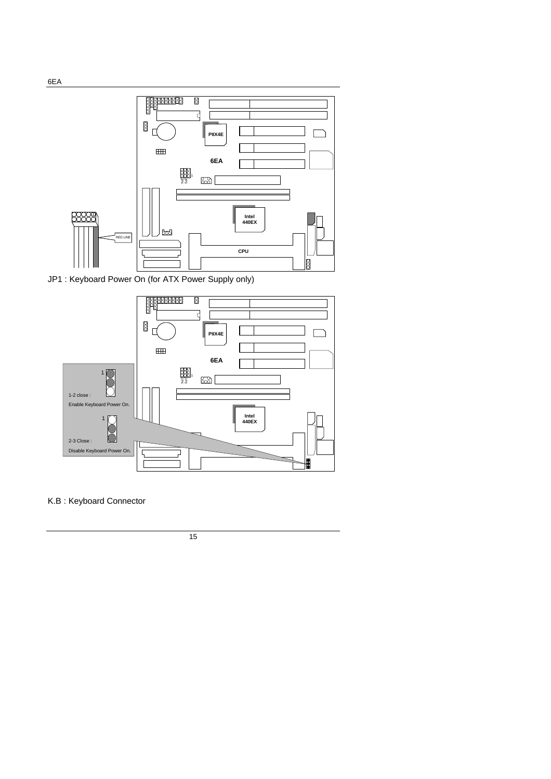

JP1 : Keyboard Power On (for ATX Power Supply only)



K.B : Keyboard Connector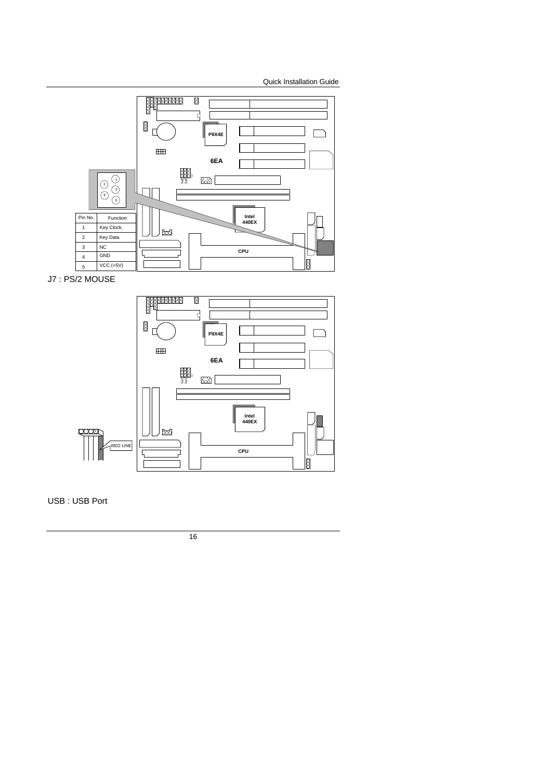

J7 : PS/2 MOUSE



USB : USB Port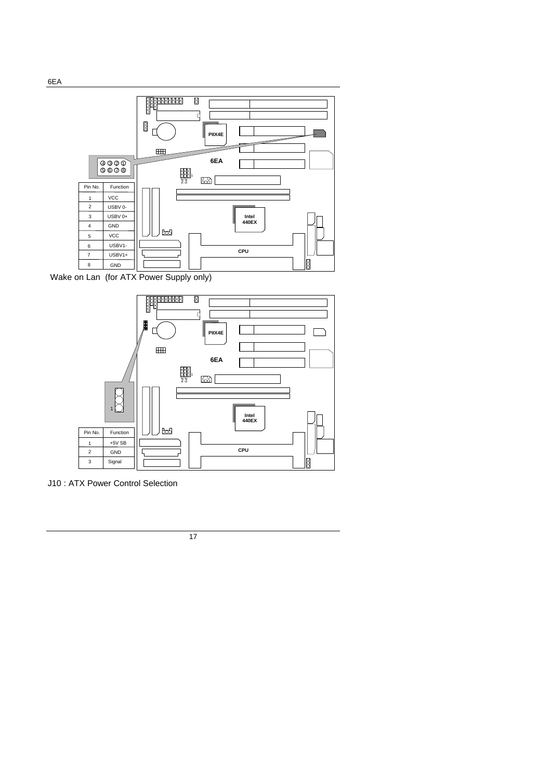

Wake on Lan (for ATX Power Supply only)



J10 : ATX Power Control Selection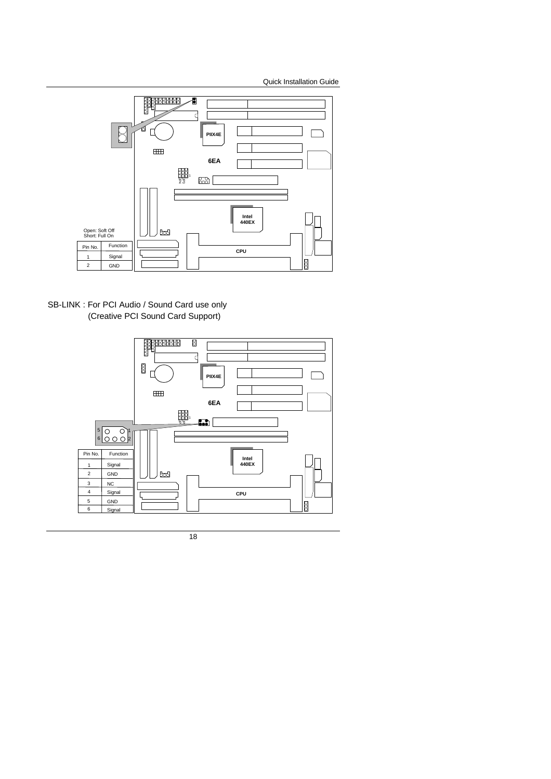

SB-LINK : For PCI Audio / Sound Card use only (Creative PCI Sound Card Support)

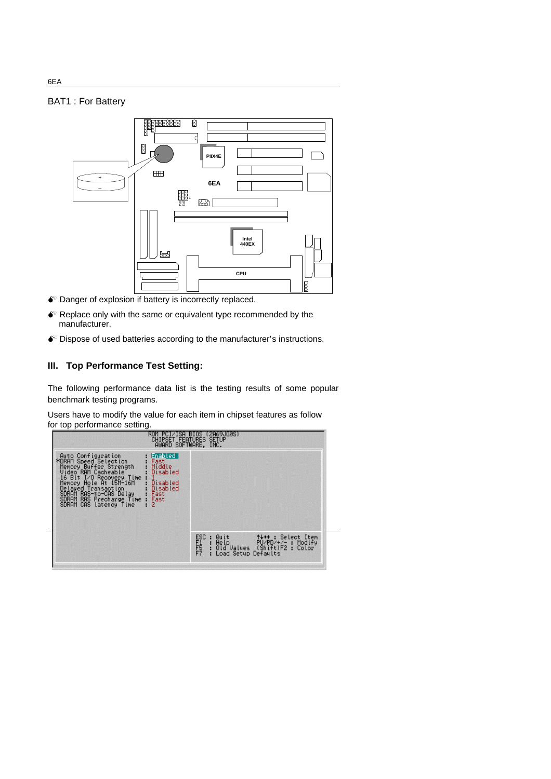# BAT1 : For Battery



- $\bullet$  Danger of explosion if battery is incorrectly replaced.
- $\bullet$  Replace only with the same or equivalent type recommended by the manufacturer.
- $\bullet$  Dispose of used batteries according to the manufacturer's instructions.

## **III. Top Performance Test Setting:**

The following performance data list is the testing results of some popular benchmark testing programs.

Users have to modify the value for each item in chipset features as follow for top performance setting.



6EA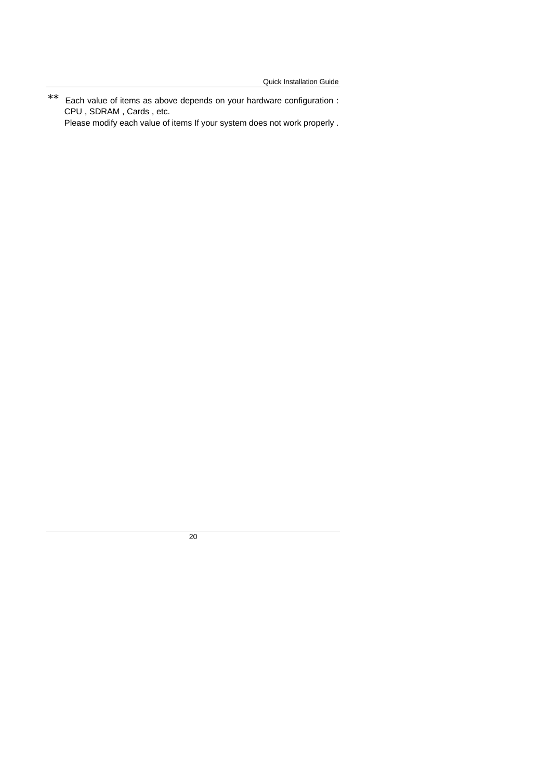\*\* Each value of items as above depends on your hardware configuration : CPU , SDRAM , Cards , etc. Please modify each value of items If your system does not work properly .